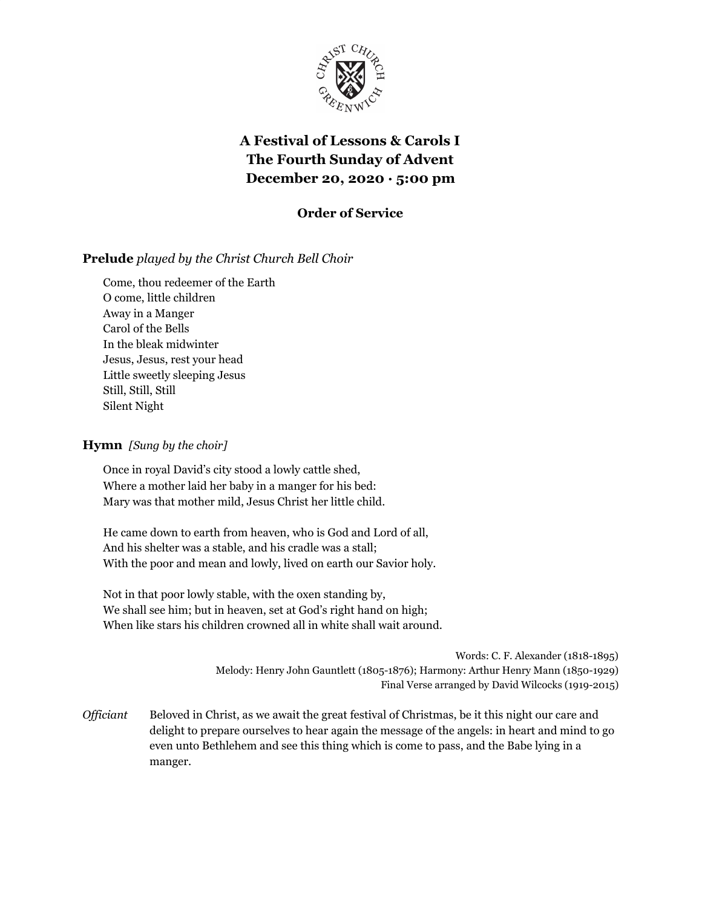

# **A Festival of Lessons & Carols I The Fourth Sunday of Advent December 20, 2020 · 5:00 pm**

## **Order of Service**

## **Prelude** *played by the Christ Church Bell Choir*

Come, thou redeemer of the Earth O come, little children Away in a Manger Carol of the Bells In the bleak midwinter Jesus, Jesus, rest your head Little sweetly sleeping Jesus Still, Still, Still Silent Night

#### **Hymn** *[Sung by the choir]*

Once in royal David's city stood a lowly cattle shed, Where a mother laid her baby in a manger for his bed: Mary was that mother mild, Jesus Christ her little child.

He came down to earth from heaven, who is God and Lord of all, And his shelter was a stable, and his cradle was a stall; With the poor and mean and lowly, lived on earth our Savior holy.

Not in that poor lowly stable, with the oxen standing by, We shall see him; but in heaven, set at God's right hand on high; When like stars his children crowned all in white shall wait around.

> Words: C. F. Alexander (1818-1895) Melody: Henry John Gauntlett (1805-1876); Harmony: Arthur Henry Mann (1850-1929) Final Verse arranged by David Wilcocks (1919-2015)

*Officiant* Beloved in Christ, as we await the great festival of Christmas, be it this night our care and delight to prepare ourselves to hear again the message of the angels: in heart and mind to go even unto Bethlehem and see this thing which is come to pass, and the Babe lying in a manger.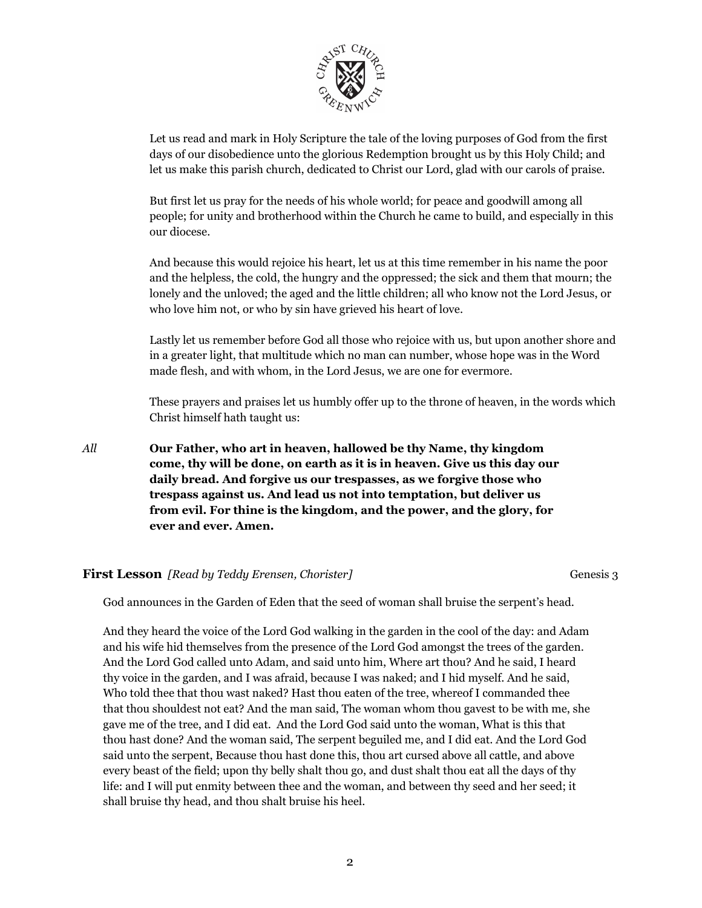

Let us read and mark in Holy Scripture the tale of the loving purposes of God from the first days of our disobedience unto the glorious Redemption brought us by this Holy Child; and let us make this parish church, dedicated to Christ our Lord, glad with our carols of praise.

But first let us pray for the needs of his whole world; for peace and goodwill among all people; for unity and brotherhood within the Church he came to build, and especially in this our diocese.

And because this would rejoice his heart, let us at this time remember in his name the poor and the helpless, the cold, the hungry and the oppressed; the sick and them that mourn; the lonely and the unloved; the aged and the little children; all who know not the Lord Jesus, or who love him not, or who by sin have grieved his heart of love.

Lastly let us remember before God all those who rejoice with us, but upon another shore and in a greater light, that multitude which no man can number, whose hope was in the Word made flesh, and with whom, in the Lord Jesus, we are one for evermore.

These prayers and praises let us humbly offer up to the throne of heaven, in the words which Christ himself hath taught us:

*All* **Our Father, who art in heaven, hallowed be thy Name, thy kingdom come, thy will be done, on earth as it is in heaven. Give us this day our daily bread. And forgive us our trespasses, as we forgive those who trespass against us. And lead us not into temptation, but deliver us from evil. For thine is the kingdom, and the power, and the glory, for ever and ever. Amen.**

#### **First Lesson** *[Read by Teddy Erensen, Chorister]* Genesis 3

God announces in the Garden of Eden that the seed of woman shall bruise the serpent's head.

And they heard the voice of the Lord God walking in the garden in the cool of the day: and Adam and his wife hid themselves from the presence of the Lord God amongst the trees of the garden. And the Lord God called unto Adam, and said unto him, Where art thou? And he said, I heard thy voice in the garden, and I was afraid, because I was naked; and I hid myself. And he said, Who told thee that thou wast naked? Hast thou eaten of the tree, whereof I commanded thee that thou shouldest not eat? And the man said, The woman whom thou gavest to be with me, she gave me of the tree, and I did eat. And the Lord God said unto the woman, What is this that thou hast done? And the woman said, The serpent beguiled me, and I did eat. And the Lord God said unto the serpent, Because thou hast done this, thou art cursed above all cattle, and above every beast of the field; upon thy belly shalt thou go, and dust shalt thou eat all the days of thy life: and I will put enmity between thee and the woman, and between thy seed and her seed; it shall bruise thy head, and thou shalt bruise his heel.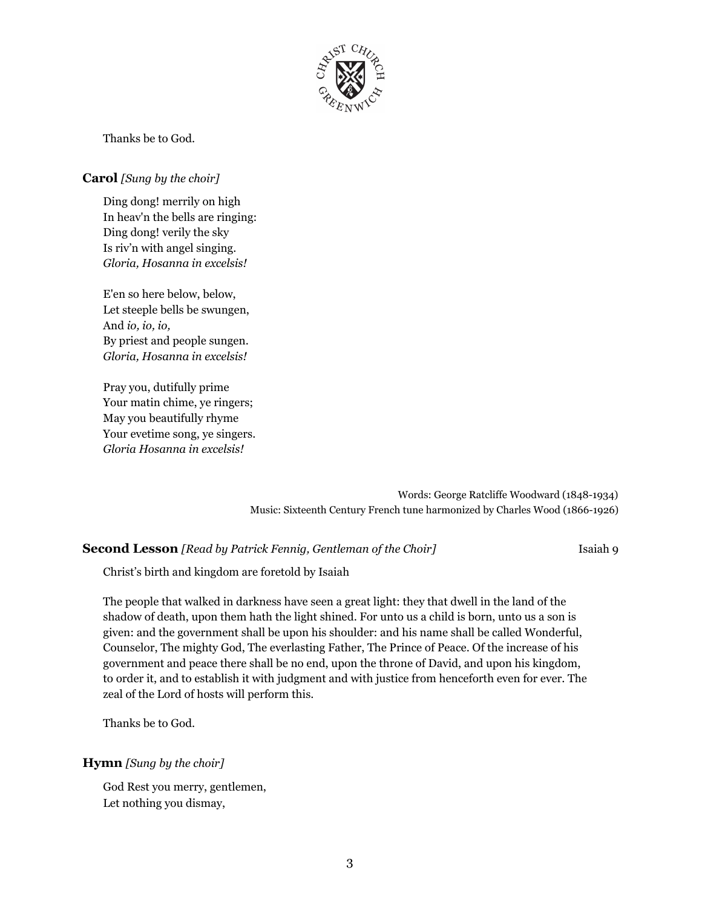

Thanks be to God.

#### **Carol** *[Sung by the choir]*

Ding dong! merrily on high In heav'n the bells are ringing: Ding dong! verily the sky Is riv'n with angel singing. *Gloria, Hosanna in excelsis!*

E'en so here below, below, Let steeple bells be swungen, And *io, io, io,* By priest and people sungen. *Gloria, Hosanna in excelsis!*

Pray you, dutifully prime Your matin chime, ye ringers; May you beautifully rhyme Your evetime song, ye singers. *Gloria Hosanna in excelsis!*

> Words: George Ratcliffe Woodward (1848-1934) Music: Sixteenth Century French tune harmonized by Charles Wood (1866-1926)

#### **Second Lesson** *[Read by Patrick Fennig, Gentleman of the Choir]* Isaiah 9

Christ's birth and kingdom are foretold by Isaiah

The people that walked in darkness have seen a great light: they that dwell in the land of the shadow of death, upon them hath the light shined. For unto us a child is born, unto us a son is given: and the government shall be upon his shoulder: and his name shall be called Wonderful, Counselor, The mighty God, The everlasting Father, The Prince of Peace. Of the increase of his government and peace there shall be no end, upon the throne of David, and upon his kingdom, to order it, and to establish it with judgment and with justice from henceforth even for ever. The zeal of the Lord of hosts will perform this.

Thanks be to God.

#### **Hymn** *[Sung by the choir]*

God Rest you merry, gentlemen, Let nothing you dismay,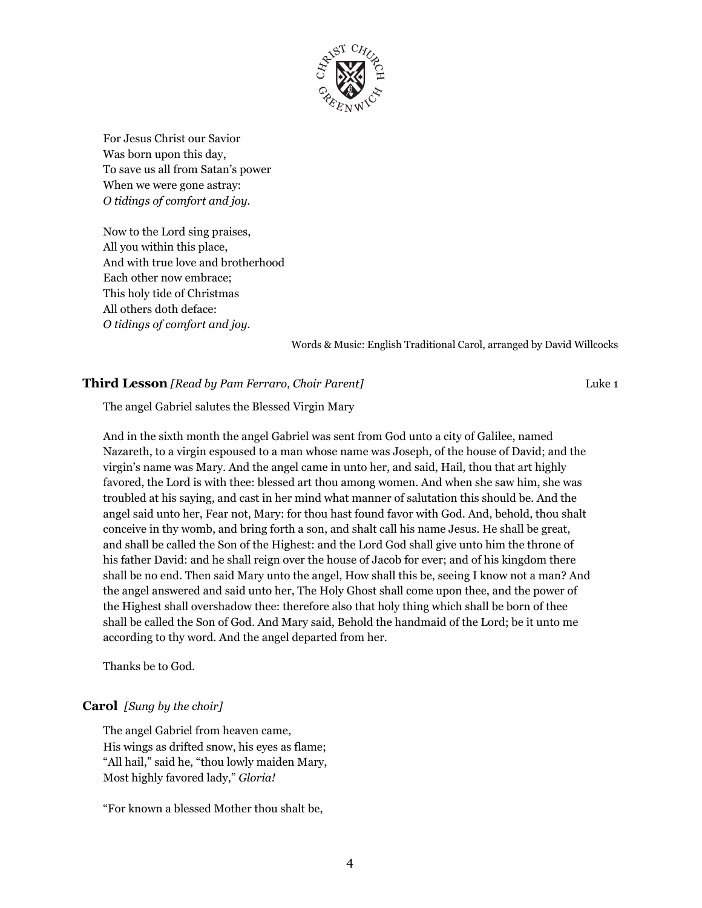

For Jesus Christ our Savior Was born upon this day, To save us all from Satan's power When we were gone astray: *O tidings of comfort and joy.*

Now to the Lord sing praises, All you within this place, And with true love and brotherhood Each other now embrace; This holy tide of Christmas All others doth deface: *O tidings of comfort and joy.*

Words & Music: English Traditional Carol, arranged by David Willcocks

#### **Third Lesson** *[Read by Pam Ferraro, Choir Parent]* Luke 1

The angel Gabriel salutes the Blessed Virgin Mary

And in the sixth month the angel Gabriel was sent from God unto a city of Galilee, named Nazareth, to a virgin espoused to a man whose name was Joseph, of the house of David; and the virgin's name was Mary. And the angel came in unto her, and said, Hail, thou that art highly favored, the Lord is with thee: blessed art thou among women. And when she saw him, she was troubled at his saying, and cast in her mind what manner of salutation this should be. And the angel said unto her, Fear not, Mary: for thou hast found favor with God. And, behold, thou shalt conceive in thy womb, and bring forth a son, and shalt call his name Jesus. He shall be great, and shall be called the Son of the Highest: and the Lord God shall give unto him the throne of his father David: and he shall reign over the house of Jacob for ever; and of his kingdom there shall be no end. Then said Mary unto the angel, How shall this be, seeing I know not a man? And the angel answered and said unto her, The Holy Ghost shall come upon thee, and the power of the Highest shall overshadow thee: therefore also that holy thing which shall be born of thee shall be called the Son of God. And Mary said, Behold the handmaid of the Lord; be it unto me according to thy word. And the angel departed from her.

Thanks be to God.

#### **Carol** *[Sung by the choir]*

The angel Gabriel from heaven came, His wings as drifted snow, his eyes as flame; "All hail," said he, "thou lowly maiden Mary, Most highly favored lady," *Gloria!*

"For known a blessed Mother thou shalt be,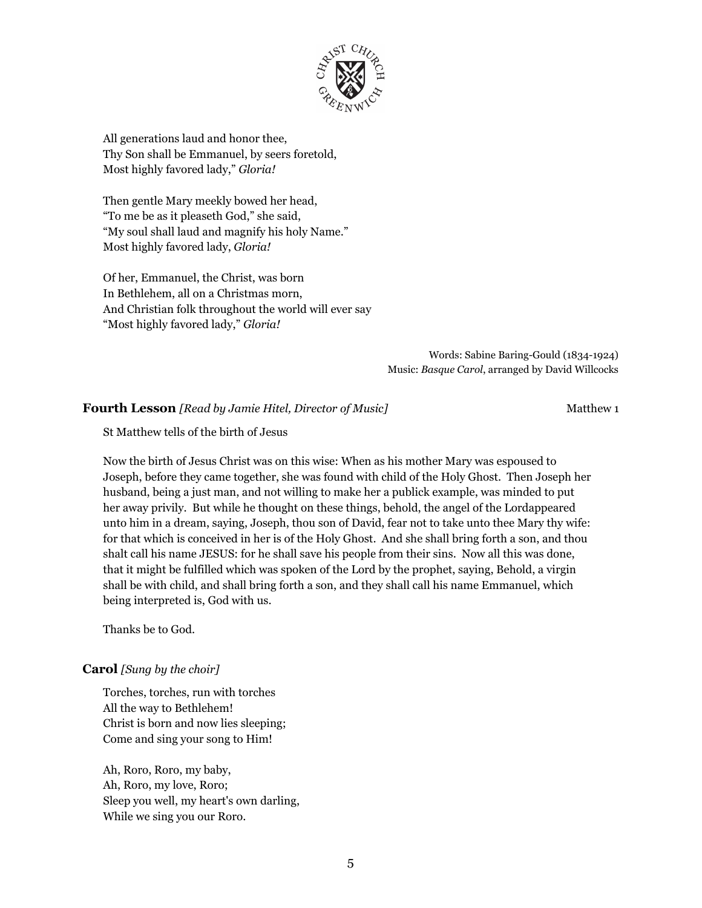

All generations laud and honor thee, Thy Son shall be Emmanuel, by seers foretold, Most highly favored lady," *Gloria!*

Then gentle Mary meekly bowed her head, "To me be as it pleaseth God," she said, "My soul shall laud and magnify his holy Name." Most highly favored lady, *Gloria!*

Of her, Emmanuel, the Christ, was born In Bethlehem, all on a Christmas morn, And Christian folk throughout the world will ever say "Most highly favored lady," *Gloria!*

> Words: Sabine Baring-Gould (1834-1924) Music: *Basque Carol*, arranged by David Willcocks

#### **Fourth Lesson** *[Read by Jamie Hitel, Director of Music]* Matthew 1

#### St Matthew tells of the birth of Jesus

Now the birth of Jesus Christ was on this wise: When as his mother Mary was espoused to Joseph, before they came together, she was found with child of the Holy Ghost. Then Joseph her husband, being a just man, and not willing to make her a publick example, was minded to put her away privily. But while he thought on these things, behold, the angel of the Lordappeared unto him in a dream, saying, Joseph, thou son of David, fear not to take unto thee Mary thy wife: for that which is conceived in her is of the Holy Ghost. And she shall bring forth a son, and thou shalt call his name JESUS: for he shall save his people from their sins. Now all this was done, that it might be fulfilled which was spoken of the Lord by the prophet, saying, Behold, a virgin shall be with child, and shall bring forth a son, and they shall call his name Emmanuel, which being interpreted is, God with us.

Thanks be to God.

#### **Carol** *[Sung by the choir]*

Torches, torches, run with torches All the way to Bethlehem! Christ is born and now lies sleeping; Come and sing your song to Him!

Ah, Roro, Roro, my baby, Ah, Roro, my love, Roro; Sleep you well, my heart's own darling, While we sing you our Roro.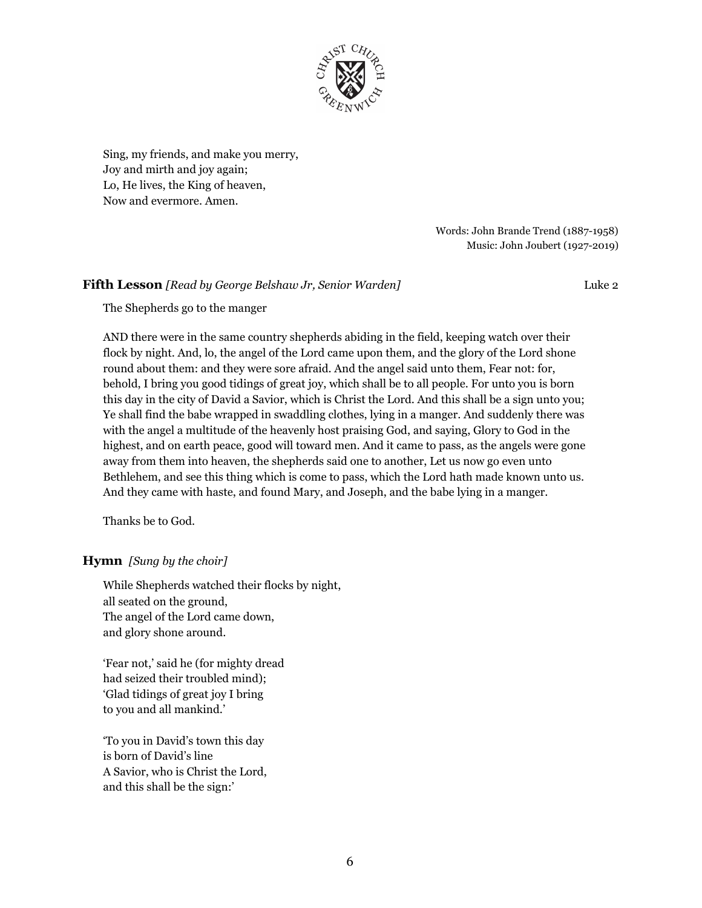

Sing, my friends, and make you merry, Joy and mirth and joy again; Lo, He lives, the King of heaven, Now and evermore. Amen.

> Words: John Brande Trend (1887-1958) Music: John Joubert (1927-2019)

#### **Fifth Lesson** *[Read by George Belshaw Jr, Senior Warden]* Luke 2

The Shepherds go to the manger

AND there were in the same country shepherds abiding in the field, keeping watch over their flock by night. And, lo, the angel of the Lord came upon them, and the glory of the Lord shone round about them: and they were sore afraid. And the angel said unto them, Fear not: for, behold, I bring you good tidings of great joy, which shall be to all people. For unto you is born this day in the city of David a Savior, which is Christ the Lord. And this shall be a sign unto you; Ye shall find the babe wrapped in swaddling clothes, lying in a manger. And suddenly there was with the angel a multitude of the heavenly host praising God, and saying, Glory to God in the highest, and on earth peace, good will toward men. And it came to pass, as the angels were gone away from them into heaven, the shepherds said one to another, Let us now go even unto Bethlehem, and see this thing which is come to pass, which the Lord hath made known unto us. And they came with haste, and found Mary, and Joseph, and the babe lying in a manger.

Thanks be to God.

#### **Hymn** *[Sung by the choir]*

While Shepherds watched their flocks by night, all seated on the ground, The angel of the Lord came down, and glory shone around.

'Fear not,' said he (for mighty dread had seized their troubled mind); 'Glad tidings of great joy I bring to you and all mankind.'

'To you in David's town this day is born of David's line A Savior, who is Christ the Lord, and this shall be the sign:'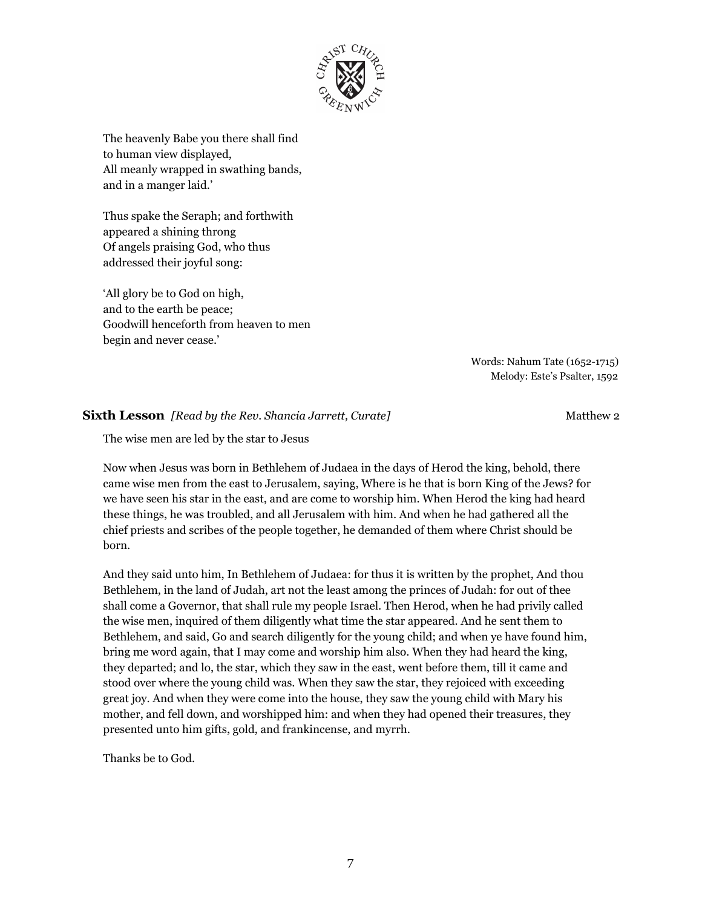

The heavenly Babe you there shall find to human view displayed, All meanly wrapped in swathing bands, and in a manger laid.'

Thus spake the Seraph; and forthwith appeared a shining throng Of angels praising God, who thus addressed their joyful song:

'All glory be to God on high, and to the earth be peace; Goodwill henceforth from heaven to men begin and never cease.'

> Words: Nahum Tate (1652-1715) Melody: Este's Psalter, 1592

#### **Sixth Lesson** *[Read by the Rev. Shancia Jarrett, Curate]* Matthew 2

The wise men are led by the star to Jesus

Now when Jesus was born in Bethlehem of Judaea in the days of Herod the king, behold, there came wise men from the east to Jerusalem, saying, Where is he that is born King of the Jews? for we have seen his star in the east, and are come to worship him. When Herod the king had heard these things, he was troubled, and all Jerusalem with him. And when he had gathered all the chief priests and scribes of the people together, he demanded of them where Christ should be born.

And they said unto him, In Bethlehem of Judaea: for thus it is written by the prophet, And thou Bethlehem, in the land of Judah, art not the least among the princes of Judah: for out of thee shall come a Governor, that shall rule my people Israel. Then Herod, when he had privily called the wise men, inquired of them diligently what time the star appeared. And he sent them to Bethlehem, and said, Go and search diligently for the young child; and when ye have found him, bring me word again, that I may come and worship him also. When they had heard the king, they departed; and lo, the star, which they saw in the east, went before them, till it came and stood over where the young child was. When they saw the star, they rejoiced with exceeding great joy. And when they were come into the house, they saw the young child with Mary his mother, and fell down, and worshipped him: and when they had opened their treasures, they presented unto him gifts, gold, and frankincense, and myrrh.

Thanks be to God.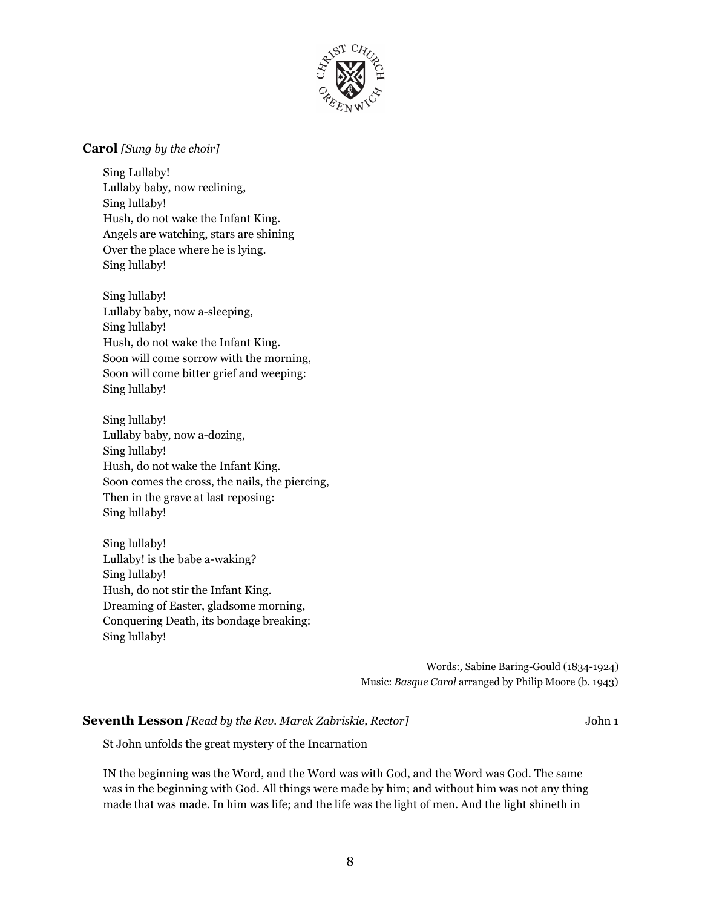

#### **Carol** *[Sung by the choir]*

Sing Lullaby! Lullaby baby, now reclining, Sing lullaby! Hush, do not wake the Infant King. Angels are watching, stars are shining Over the place where he is lying. Sing lullaby!

Sing lullaby! Lullaby baby, now a-sleeping, Sing lullaby! Hush, do not wake the Infant King. Soon will come sorrow with the morning, Soon will come bitter grief and weeping: Sing lullaby!

Sing lullaby! Lullaby baby, now a-dozing, Sing lullaby! Hush, do not wake the Infant King. Soon comes the cross, the nails, the piercing, Then in the grave at last reposing: Sing lullaby!

Sing lullaby! Lullaby! is the babe a-waking? Sing lullaby! Hush, do not stir the Infant King. Dreaming of Easter, gladsome morning, Conquering Death, its bondage breaking: Sing lullaby!

> Words:*,* Sabine Baring-Gould (1834-1924) Music: *Basque Carol* arranged by Philip Moore (b. 1943)

#### **Seventh Lesson** *[Read by the Rev. Marek Zabriskie, Rector]* John 1

St John unfolds the great mystery of the Incarnation

IN the beginning was the Word, and the Word was with God, and the Word was God. The same was in the beginning with God. All things were made by him; and without him was not any thing made that was made. In him was life; and the life was the light of men. And the light shineth in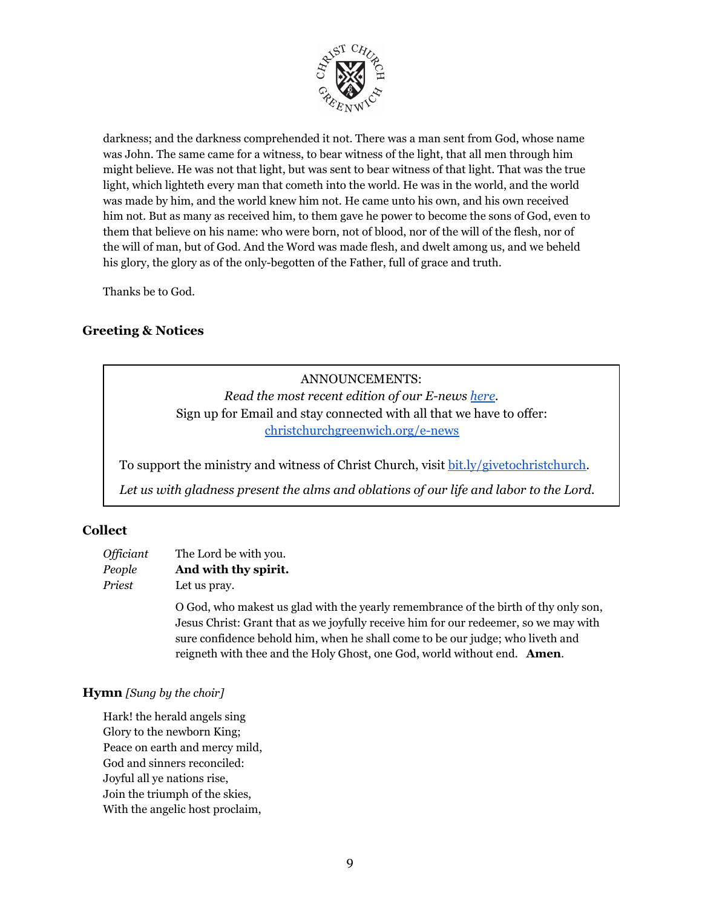

darkness; and the darkness comprehended it not. There was a man sent from God, whose name was John. The same came for a witness, to bear witness of the light, that all men through him might believe. He was not that light, but was sent to bear witness of that light. That was the true light, which lighteth every man that cometh into the world. He was in the world, and the world was made by him, and the world knew him not. He came unto his own, and his own received him not. But as many as received him, to them gave he power to become the sons of God, even to them that believe on his name: who were born, not of blood, nor of the will of the flesh, nor of the will of man, but of God. And the Word was made flesh, and dwelt among us, and we beheld his glory, the glory as of the only-begotten of the Father, full of grace and truth.

Thanks be to God.

## **Greeting & Notices**

ANNOUNCEMENTS: *Read the most recent edition of our E-news [here.](http://createsend.com/t/r-153AC471BB8683242540EF23F30FEDED)* Sign up for Email and stay connected with all that we have to offer: [christchurchgreenwich.org/e-news](https://christchurchgreenwich.org/e-news/)

To support the ministry and witness of Christ Church, visit [bit.ly/givetochristchurch.](http://bit.ly/givetochristchurch)

*Let us with gladness present the alms and oblations of our life and labor to the Lord.*

## **Collect**

| Officiant | The Lord be with you. |
|-----------|-----------------------|
| People    | And with thy spirit.  |
| Priest    | Let us pray.          |

O God, who makest us glad with the yearly remembrance of the birth of thy only son, Jesus Christ: Grant that as we joyfully receive him for our redeemer, so we may with sure confidence behold him, when he shall come to be our judge; who liveth and reigneth with thee and the Holy Ghost, one God, world without end. **Amen**.

## **Hymn** *[Sung by the choir]*

Hark! the herald angels sing Glory to the newborn King; Peace on earth and mercy mild, God and sinners reconciled: Joyful all ye nations rise, Join the triumph of the skies, With the angelic host proclaim,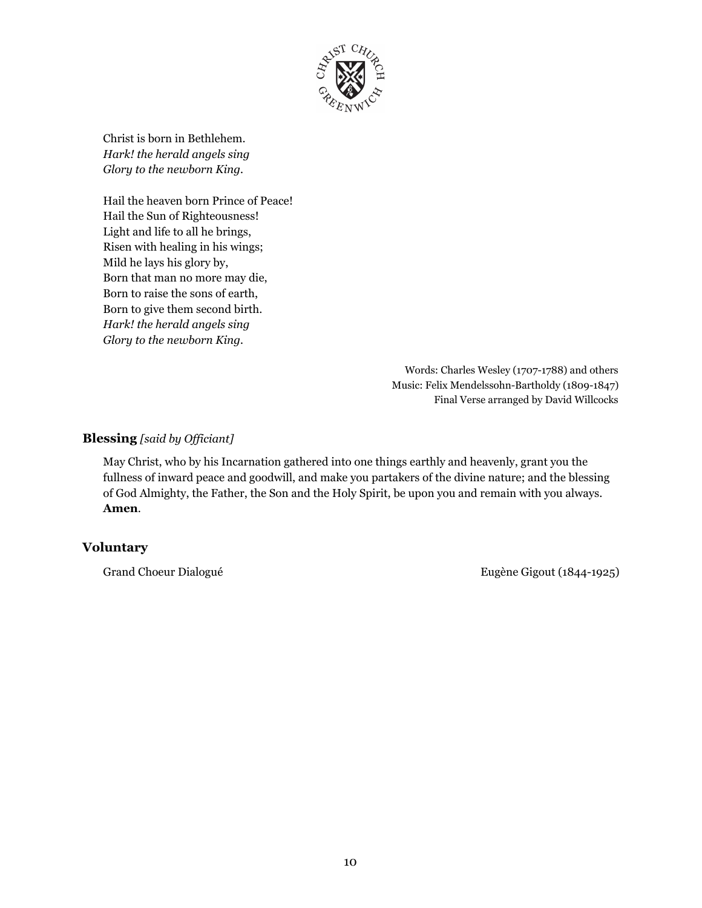

Christ is born in Bethlehem. *Hark! the herald angels sing Glory to the newborn King.*

Hail the heaven born Prince of Peace! Hail the Sun of Righteousness! Light and life to all he brings, Risen with healing in his wings; Mild he lays his glory by, Born that man no more may die, Born to raise the sons of earth, Born to give them second birth. *Hark! the herald angels sing Glory to the newborn King.*

> Words: Charles Wesley (1707-1788) and others Music: Felix Mendelssohn-Bartholdy (1809-1847) Final Verse arranged by David Willcocks

## **Blessing** [said by Officiant]

May Christ, who by his Incarnation gathered into one things earthly and heavenly, grant you the fullness of inward peace and goodwill, and make you partakers of the divine nature; and the blessing of God Almighty, the Father, the Son and the Holy Spirit, be upon you and remain with you always. **Amen**.

## **Voluntary**

Grand Choeur Dialogué **Eugène Gigout (1844-1925)**